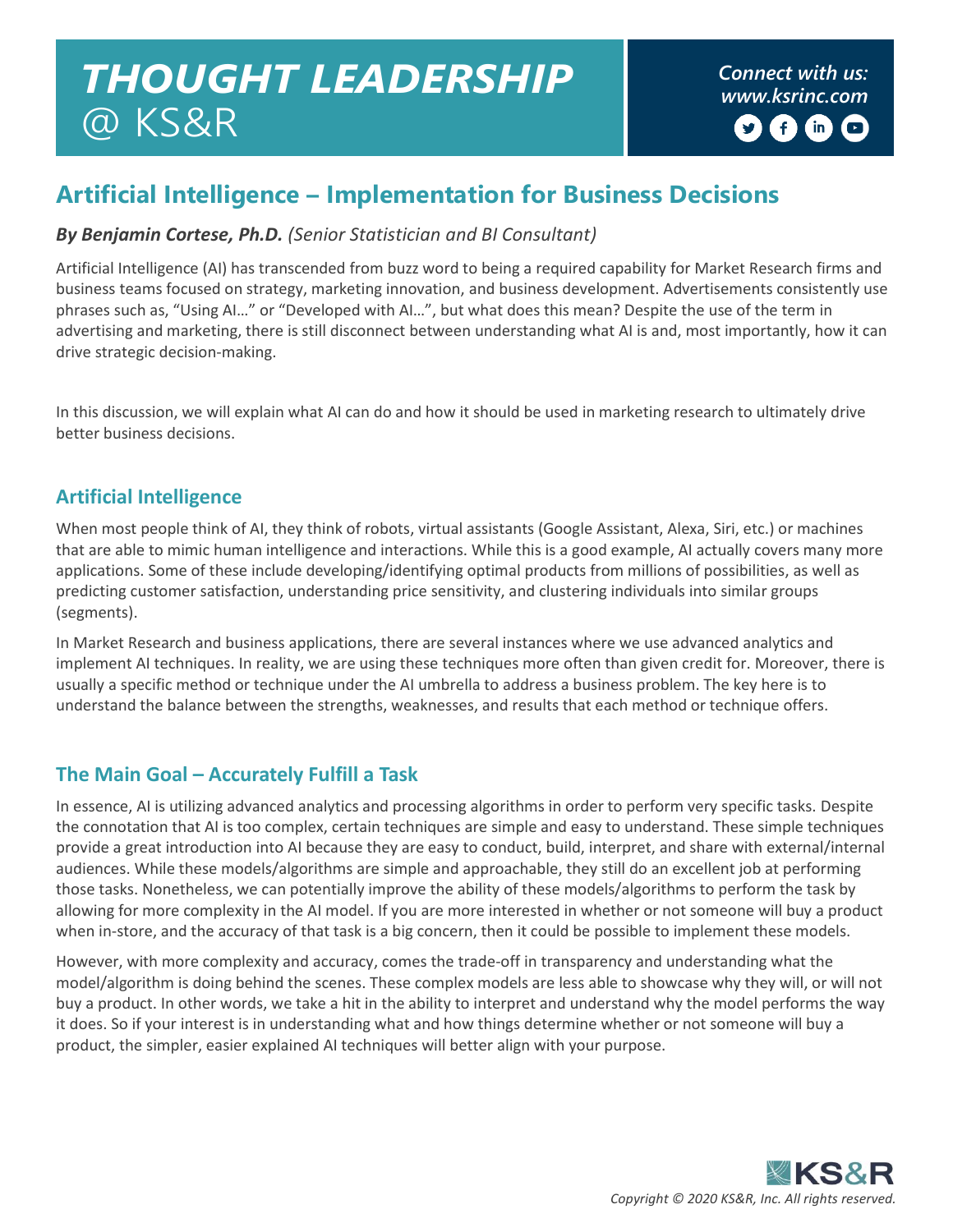# *Connect with us: THOUGHT LEADERSHIP [www.ksrinc.com](http://www.ksrinc.com/)* @ KS&R

# **Artificial Intelligence – Implementation for Business Decisions**

### *By Benjamin Cortese, Ph.D. (Senior Statistician and BI Consultant)*

Artificial Intelligence (AI) has transcended from buzz word to being a required capability for Market Research firms and business teams focused on strategy, marketing innovation, and business development. Advertisements consistently use phrases such as, "Using AI…" or "Developed with AI…", but what does this mean? Despite the use of the term in advertising and marketing, there is still disconnect between understanding what AI is and, most importantly, how it can drive strategic decision-making.

In this discussion, we will explain what AI can do and how it should be used in marketing research to ultimately drive better business decisions.

### **Artificial Intelligence**

When most people think of AI, they think of robots, virtual assistants (Google Assistant, Alexa, Siri, etc.) or machines that are able to mimic human intelligence and interactions. While this is a good example, AI actually covers many more applications. Some of these include developing/identifying optimal products from millions of possibilities, as well as predicting customer satisfaction, understanding price sensitivity, and clustering individuals into similar groups (segments).

In Market Research and business applications, there are several instances where we use advanced analytics and implement AI techniques. In reality, we are using these techniques more often than given credit for. Moreover, there is usually a specific method or technique under the AI umbrella to address a business problem. The key here is to understand the balance between the strengths, weaknesses, and results that each method or technique offers.

# **The Main Goal – Accurately Fulfill a Task**

In essence, AI is utilizing advanced analytics and processing algorithms in order to perform very specific tasks. Despite the connotation that AI is too complex, certain techniques are simple and easy to understand. These simple techniques provide a great introduction into AI because they are easy to conduct, build, interpret, and share with external/internal audiences. While these models/algorithms are simple and approachable, they still do an excellent job at performing those tasks. Nonetheless, we can potentially improve the ability of these models/algorithms to perform the task by allowing for more complexity in the AI model. If you are more interested in whether or not someone will buy a product when in-store, and the accuracy of that task is a big concern, then it could be possible to implement these models.

However, with more complexity and accuracy, comes the trade-off in transparency and understanding what the model/algorithm is doing behind the scenes. These complex models are less able to showcase why they will, or will not buy a product. In other words, we take a hit in the ability to interpret and understand why the model performs the way it does. So if your interest is in understanding what and how things determine whether or not someone will buy a product, the simpler, easier explained AI techniques will better align with your purpose.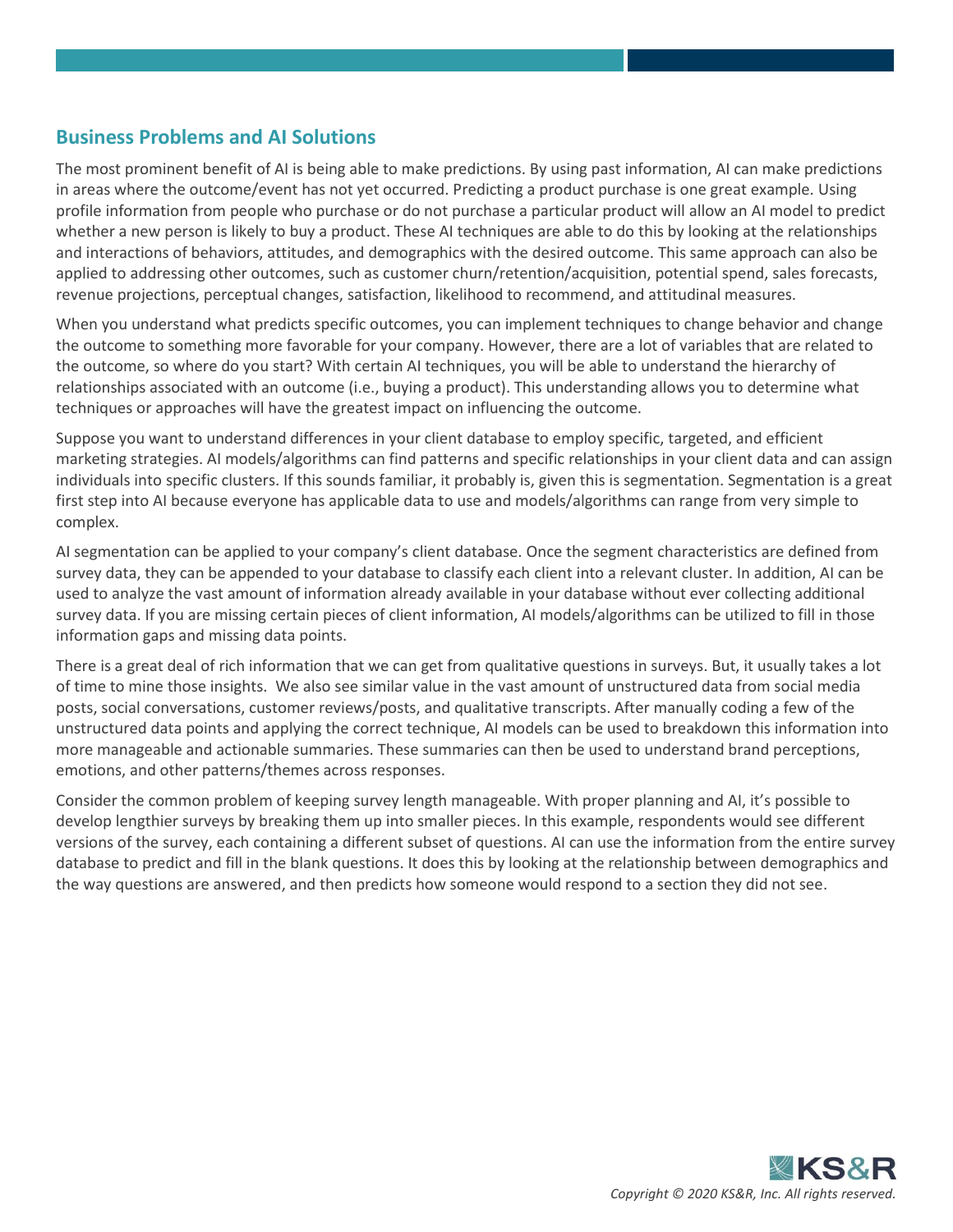#### **Business Problems and AI Solutions**

The most prominent benefit of AI is being able to make predictions. By using past information, AI can make predictions in areas where the outcome/event has not yet occurred. Predicting a product purchase is one great example. Using profile information from people who purchase or do not purchase a particular product will allow an AI model to predict whether a new person is likely to buy a product. These AI techniques are able to do this by looking at the relationships and interactions of behaviors, attitudes, and demographics with the desired outcome. This same approach can also be applied to addressing other outcomes, such as customer churn/retention/acquisition, potential spend, sales forecasts, revenue projections, perceptual changes, satisfaction, likelihood to recommend, and attitudinal measures.

When you understand what predicts specific outcomes, you can implement techniques to change behavior and change the outcome to something more favorable for your company. However, there are a lot of variables that are related to the outcome, so where do you start? With certain AI techniques, you will be able to understand the hierarchy of relationships associated with an outcome (i.e., buying a product). This understanding allows you to determine what techniques or approaches will have the greatest impact on influencing the outcome.

Suppose you want to understand differences in your client database to employ specific, targeted, and efficient marketing strategies. AI models/algorithms can find patterns and specific relationships in your client data and can assign individuals into specific clusters. If this sounds familiar, it probably is, given this is segmentation. Segmentation is a great first step into AI because everyone has applicable data to use and models/algorithms can range from very simple to complex.

AI segmentation can be applied to your company's client database. Once the segment characteristics are defined from survey data, they can be appended to your database to classify each client into a relevant cluster. In addition, AI can be used to analyze the vast amount of information already available in your database without ever collecting additional survey data. If you are missing certain pieces of client information, AI models/algorithms can be utilized to fill in those information gaps and missing data points.

There is a great deal of rich information that we can get from qualitative questions in surveys. But, it usually takes a lot of time to mine those insights. We also see similar value in the vast amount of unstructured data from social media posts, social conversations, customer reviews/posts, and qualitative transcripts. After manually coding a few of the unstructured data points and applying the correct technique, AI models can be used to breakdown this information into more manageable and actionable summaries. These summaries can then be used to understand brand perceptions, emotions, and other patterns/themes across responses.

Consider the common problem of keeping survey length manageable. With proper planning and AI, it's possible to develop lengthier surveys by breaking them up into smaller pieces. In this example, respondents would see different versions of the survey, each containing a different subset of questions. AI can use the information from the entire survey database to predict and fill in the blank questions. It does this by looking at the relationship between demographics and the way questions are answered, and then predicts how someone would respond to a section they did not see.